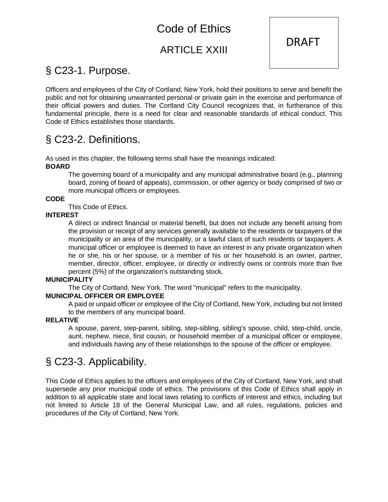# [Code of Ethics](https://ecode360.com/print/AU1877?guid=8967179&children=true#8967179)

### ARTICLE XXIII



# § [C23-1. Purpose.](https://ecode360.com/print/AU1877?guid=8967179&children=true#8967180)

Officers and employees of the City of Cortland, New York, hold their positions to serve and benefit the public and not for obtaining unwarranted personal or private gain in the exercise and performance of their official powers and duties. The Cortland City Council recognizes that, in furtherance of this fundamental principle, there is a need for clear and reasonable standards of ethical conduct. This Code of Ethics establishes those standards.

## § [C23-2. Definitions.](https://ecode360.com/print/AU1877?guid=8967179&children=true#8967181)

As used in this chapter, the following terms shall have the meanings indicated:

#### **[BOARD](https://ecode360.com/print/8967182#8967182)**

The governing board of a municipality and any municipal administrative board (e.g., planning board, zoning of board of appeals), commission, or other agency or body comprised of two or more municipal officers or employees.

#### **[CODE](https://ecode360.com/print/8967183#8967183)**

This Code of Ethics.

#### **[INTEREST](https://ecode360.com/print/8967184#8967184)**

A direct or indirect financial or material benefit, but does not include any benefit arising from the provision or receipt of any services generally available to the residents or taxpayers of the municipality or an area of the municipality, or a lawful class of such residents or taxpayers. A municipal officer or employee is deemed to have an interest in any private organization when he or she, his or her spouse, or a member of his or her household is an owner, partner, member, director, officer, employee, or directly or indirectly owns or controls more than five percent (5%) of the organization's outstanding stock.

#### **[MUNICIPALITY](https://ecode360.com/print/8967185#8967185)**

The City of Cortland, New York. The word "municipal" refers to the municipality.

#### **[MUNICIPAL OFFICER OR EMPLOYEE](https://ecode360.com/print/8967186#8967186)**

A paid or unpaid officer or employee of the City of Cortland, New York, including but not limited to the members of any municipal board.

#### **[RELATIVE](https://ecode360.com/print/8967187#8967187)**

A spouse, parent, step-parent, sibling, step-sibling, sibling's spouse, child, step-child, uncle, aunt, nephew, niece, first cousin, or household member of a municipal officer or employee, and individuals having any of these relationships to the spouse of the officer or employee.

# § [C23-3. Applicability.](https://ecode360.com/print/AU1877?guid=8967179&children=true#8967188)

This Code of Ethics applies to the officers and employees of the City of Cortland, New York, and shall supersede any prior municipal code of ethics. The provisions of this Code of Ethics shall apply in addition to all applicable state and local laws relating to conflicts of interest and ethics, including but not limited to Article 18 of the General Municipal Law, and all rules, regulations, policies and procedures of the City of Cortland, New York.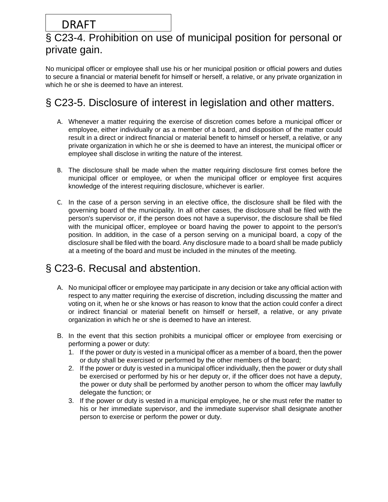## § [C23-4. Prohibition on use of municipal position for personal or](https://ecode360.com/print/AU1877?guid=8967179&children=true#8967189)  [private gain.](https://ecode360.com/print/AU1877?guid=8967179&children=true#8967189)

No municipal officer or employee shall use his or her municipal position or official powers and duties to secure a financial or material benefit for himself or herself, a relative, or any private organization in which he or she is deemed to have an interest.

# § [C23-5. Disclosure of interest in legislation and other matters.](https://ecode360.com/print/AU1877?guid=8967179&children=true#8967204)

- A. Whenever a matter requiring the exercise of discretion comes before a municipal officer or employee, either individually or as a member of a board, and disposition of the matter could result in a direct or indirect financial or material benefit to himself or herself, a relative, or any private organization in which he or she is deemed to have an interest, the municipal officer or employee shall disclose in writing the nature of the interest.
- B. The disclosure shall be made when the matter requiring disclosure first comes before the municipal officer or employee, or when the municipal officer or employee first acquires knowledge of the interest requiring disclosure, whichever is earlier.
- C. In the case of a person serving in an elective office, the disclosure shall be filed with the governing board of the municipality. In all other cases, the disclosure shall be filed with the person's supervisor or, if the person does not have a supervisor, the disclosure shall be filed with the municipal officer, employee or board having the power to appoint to the person's position. In addition, in the case of a person serving on a municipal board, a copy of the disclosure shall be filed with the board. Any disclosure made to a board shall be made publicly at a meeting of the board and must be included in the minutes of the meeting.

# § [C23-6. Recusal and abstention.](https://ecode360.com/print/AU1877?guid=8967179&children=true#8967207)

- A. No municipal officer or employee may participate in any decision or take any official action with respect to any matter requiring the exercise of discretion, including discussing the matter and voting on it, when he or she knows or has reason to know that the action could confer a direct or indirect financial or material benefit on himself or herself, a relative, or any private organization in which he or she is deemed to have an interest.
- B. In the event that this section prohibits a municipal officer or employee from exercising or performing a power or duty:
	- 1. If the power or duty is vested in a municipal officer as a member of a board, then the power or duty shall be exercised or performed by the other members of the board;
	- 2. If the power or duty is vested in a municipal officer individually, then the power or duty shall be exercised or performed by his or her deputy or, if the officer does not have a deputy, the power or duty shall be performed by another person to whom the officer may lawfully delegate the function; or
	- 3. If the power or duty is vested in a municipal employee, he or she must refer the matter to his or her immediate supervisor, and the immediate supervisor shall designate another person to exercise or perform the power or duty.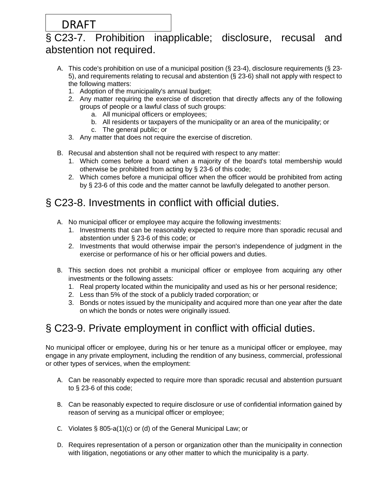### § [C23-7. Prohibition inapplicable; disclosure, recusal and](https://ecode360.com/print/AU1877?guid=8967179&children=true#8967208)  [abstention not required.](https://ecode360.com/print/AU1877?guid=8967179&children=true#8967208)

- A. This code's prohibition on use of a municipal position (§ [23-4\)](https://ecode360.com/print/8967189#8967189), disclosure requirements (§ [23-](https://ecode360.com/print/8967204#8967204) [5\)](https://ecode360.com/print/8967204#8967204), and requirements relating to recusal and abstention (§ [23-6\)](https://ecode360.com/print/8967207#8967207) shall not apply with respect to the following matters:
	- 1. Adoption of the municipality's annual budget;
	- 2. Any matter requiring the exercise of discretion that directly affects any of the following groups of people or a lawful class of such groups:
		- a. All municipal officers or employees;
		- b. All residents or taxpayers of the municipality or an area of the municipality; or
		- c. The general public; or
	- 3. Any matter that does not require the exercise of discretion.
- B. Recusal and abstention shall not be required with respect to any matter:
	- 1. Which comes before a board when a majority of the board's total membership would otherwise be prohibited from acting by § [23-6](https://ecode360.com/print/8967207#8967207) of this code;
	- 2. Which comes before a municipal officer when the officer would be prohibited from acting by § [23-6](https://ecode360.com/print/8967207#8967207) of this code and the matter cannot be lawfully delegated to another person.

# § [C23-8. Investments in conflict with official duties.](https://ecode360.com/print/AU1877?guid=8967179&children=true#8967221)

- A. No municipal officer or employee may acquire the following investments:
	- 1. Investments that can be reasonably expected to require more than sporadic recusal and abstention under § [23-6](https://ecode360.com/print/8967207#8967207) of this code; or
	- 2. Investments that would otherwise impair the person's independence of judgment in the exercise or performance of his or her official powers and duties.
- B. This section does not prohibit a municipal officer or employee from acquiring any other investments or the following assets:
	- 1. Real property located within the municipality and used as his or her personal residence;
	- 2. Less than 5% of the stock of a publicly traded corporation; or
	- 3. Bonds or notes issued by the municipality and acquired more than one year after the date on which the bonds or notes were originally issued.

# § [C23-9. Private employment in conflict with official duties.](https://ecode360.com/print/AU1877?guid=8967179&children=true#8967222)

No municipal officer or employee, during his or her tenure as a municipal officer or employee, may engage in any private employment, including the rendition of any business, commercial, professional or other types of services, when the employment:

- A. Can be reasonably expected to require more than sporadic recusal and abstention pursuant to § [23-6](https://ecode360.com/print/8967207#8967207) of this code;
- B. Can be reasonably expected to require disclosure or use of confidential information gained by reason of serving as a municipal officer or employee;
- C. Violates § 805-a(1)(c) or (d) of the General Municipal Law; or
- D. Requires representation of a person or organization other than the municipality in connection with litigation, negotiations or any other matter to which the municipality is a party.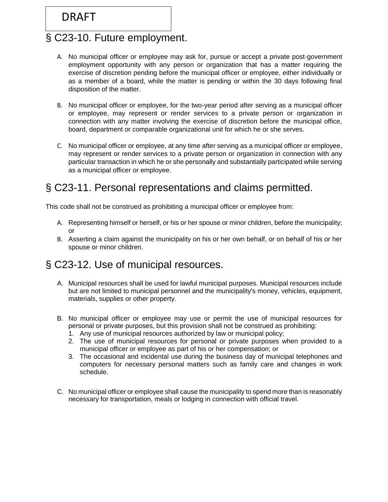## § [C23-10. Future employment.](https://ecode360.com/print/AU1877?guid=8967179&children=true#8967224)

- A. No municipal officer or employee may ask for, pursue or accept a private post-government employment opportunity with any person or organization that has a matter requiring the exercise of discretion pending before the municipal officer or employee, either individually or as a member of a board, while the matter is pending or within the 30 days following final disposition of the matter.
- B. No municipal officer or employee, for the two-year period after serving as a municipal officer or employee, may represent or render services to a private person or organization in connection with any matter involving the exercise of discretion before the municipal office, board, department or comparable organizational unit for which he or she serves.
- C. No municipal officer or employee, at any time after serving as a municipal officer or employee, may represent or render services to a private person or organization in connection with any particular transaction in which he or she personally and substantially participated while serving as a municipal officer or employee.

# § [C23-11. Personal representations and claims permitted.](https://ecode360.com/print/AU1877?guid=8967179&children=true#8967225)

This code shall not be construed as prohibiting a municipal officer or employee from:

- A. Representing himself or herself, or his or her spouse or minor children, before the municipality; or
- B. Asserting a claim against the municipality on his or her own behalf, or on behalf of his or her spouse or minor children.

## § [C23-12. Use of municipal resources.](https://ecode360.com/print/AU1877?guid=8967179&children=true#8967228)

- A. Municipal resources shall be used for lawful municipal purposes. Municipal resources include but are not limited to municipal personnel and the municipality's money, vehicles, equipment, materials, supplies or other property.
- B. No municipal officer or employee may use or permit the use of municipal resources for personal or private purposes, but this provision shall not be construed as prohibiting:
	- 1. Any use of municipal resources authorized by law or municipal policy;
	- 2. The use of municipal resources for personal or private purposes when provided to a municipal officer or employee as part of his or her compensation; or
	- 3. The occasional and incidental use during the business day of municipal telephones and computers for necessary personal matters such as family care and changes in work schedule.
- C. No municipal officer or employee shall cause the municipality to spend more than is reasonably necessary for transportation, meals or lodging in connection with official travel.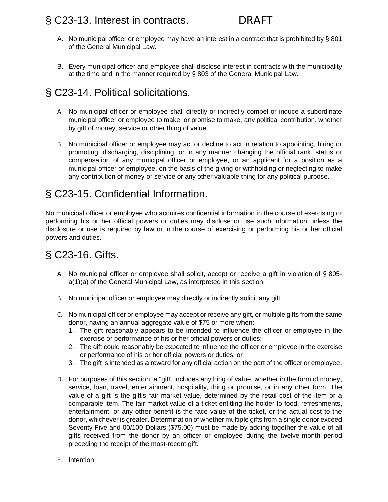### § [C23-13. Interest in contracts.](https://ecode360.com/print/AU1877?guid=8967179&children=true#8967229)

- A. No municipal officer or employee may have an interest in a contract that is prohibited by § 801 of the General Municipal Law.
- B. Every municipal officer and employee shall disclose interest in contracts with the municipality at the time and in the manner required by § 803 of the General Municipal Law.

# § [C23-14. Political solicitations.](https://ecode360.com/print/AU1877?guid=8967179&children=true#8967241)

- A. No municipal officer or employee shall directly or indirectly compel or induce a subordinate municipal officer or employee to make, or promise to make, any political contribution, whether by gift of money, service or other thing of value.
- B. No municipal officer or employee may act or decline to act in relation to appointing, hiring or promoting, discharging, disciplining, or in any manner changing the official rank, status or compensation of any municipal officer or employee, or an applicant for a position as a municipal officer or employee, on the basis of the giving or withholding or neglecting to make any contribution of money or service or any other valuable thing for any political purpose.

# § [C23-15. Confidential Information.](https://ecode360.com/print/AU1877?guid=8967179&children=true#8967246)

No municipal officer or employee who acquires confidential information in the course of exercising or performing his or her official powers or duties may disclose or use such information unless the disclosure or use is required by law or in the course of exercising or performing his or her official powers and duties.

# § [C23-16. Gifts.](https://ecode360.com/print/AU1877?guid=8967179&children=true#8967247)

- A. No municipal officer or employee shall solicit, accept or receive a gift in violation of § 805 a(1)(a) of the General Municipal Law, as interpreted in this section.
- B. No municipal officer or employee may directly or indirectly solicit any gift.
- C. No municipal officer or employee may accept or receive any gift, or multiple gifts from the same donor, having an annual aggregate value of \$75 or more when:
	- 1. The gift reasonably appears to be intended to influence the officer or employee in the exercise or performance of his or her official powers or duties;
	- 2. The gift could reasonably be expected to influence the officer or employee in the exercise or performance of his or her official powers or duties; or
	- 3. The gift is intended as a reward for any official action on the part of the officer or employee.
- D. For purposes of this section, a "gift" includes anything of value, whether in the form of money, service, loan, travel, entertainment, hospitality, thing or promise, or in any other form. The value of a gift is the gift's fair market value, determined by the retail cost of the item or a comparable item. The fair market value of a ticket entitling the holder to food, refreshments, entertainment, or any other benefit is the face value of the ticket, or the actual cost to the donor, whichever is greater. Determination of whether multiple gifts from a single donor exceed Seventy-Five and 00/100 Dollars (\$75.00) must be made by adding together the value of all gifts received from the donor by an officer or employee during the twelve-month period preceding the receipt of the most-recent gift.
- E. Intention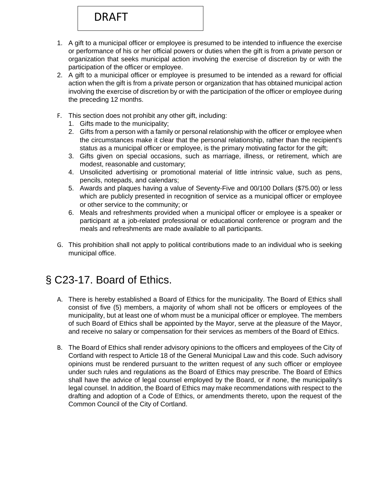- 1. A gift to a municipal officer or employee is presumed to be intended to influence the exercise or performance of his or her official powers or duties when the gift is from a private person or organization that seeks municipal action involving the exercise of discretion by or with the participation of the officer or employee.
- 2. A gift to a municipal officer or employee is presumed to be intended as a reward for official action when the gift is from a private person or organization that has obtained municipal action involving the exercise of discretion by or with the participation of the officer or employee during the preceding 12 months.
- F. This section does not prohibit any other gift, including:
	- 1. Gifts made to the municipality;
	- 2. Gifts from a person with a family or personal relationship with the officer or employee when the circumstances make it clear that the personal relationship, rather than the recipient's status as a municipal officer or employee, is the primary motivating factor for the gift;
	- 3. Gifts given on special occasions, such as marriage, illness, or retirement, which are modest, reasonable and customary;
	- 4. Unsolicited advertising or promotional material of little intrinsic value, such as pens, pencils, notepads, and calendars;
	- 5. Awards and plaques having a value of Seventy-Five and 00/100 Dollars (\$75.00) or less which are publicly presented in recognition of service as a municipal officer or employee or other service to the community; or
	- 6. Meals and refreshments provided when a municipal officer or employee is a speaker or participant at a job-related professional or educational conference or program and the meals and refreshments are made available to all participants.
- G. This prohibition shall not apply to political contributions made to an individual who is seeking municipal office.

# § [C23-17. Board of Ethics.](https://ecode360.com/print/OS0092?guid=7719721&children=true#31029644)

- A. There is hereby established a Board of Ethics for the municipality. The Board of Ethics shall consist of five (5) members, a majority of whom shall not be officers or employees of the municipality, but at least one of whom must be a municipal officer or employee. The members of such Board of Ethics shall be appointed by the Mayor, serve at the pleasure of the Mayor, and receive no salary or compensation for their services as members of the Board of Ethics.
- B. The Board of Ethics shall render advisory opinions to the officers and employees of the City of Cortland with respect to Article 18 of the General Municipal Law and this code. Such advisory opinions must be rendered pursuant to the written request of any such officer or employee under such rules and regulations as the Board of Ethics may prescribe. The Board of Ethics shall have the advice of legal counsel employed by the Board, or if none, the municipality's legal counsel. In addition, the Board of Ethics may make recommendations with respect to the drafting and adoption of a Code of Ethics, or amendments thereto, upon the request of the Common Council of the City of Cortland.